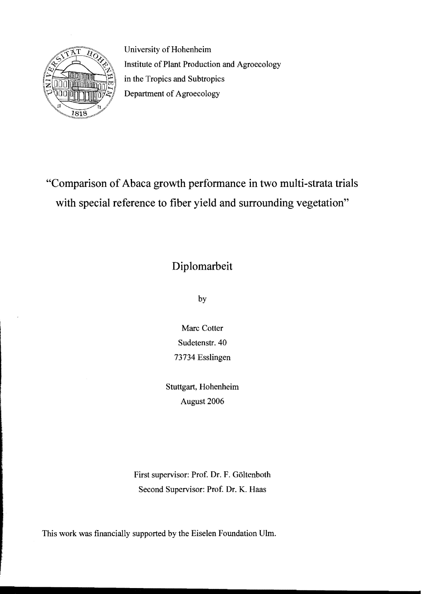

University of Hohenheim Institute of Plant Production and Agroecology in the Tropies and Subtropies Department of Agroecology

## "Comparison of Abaca growth performance in two multi-strata trials with special reference to fiber yield and surrounding vegetation"

## Diplomarbeit

by

Mare Cotter Sudetenstr. 40 73734 Esslingen

Stuttgart, Hohenheirn August 2006

First supervisor: Prof. Dr. F. GöItenboth Seeond Supervisor: Prof. Dr. K. Haas

This work was financially supported by the Eiselen Foundation Ulm.